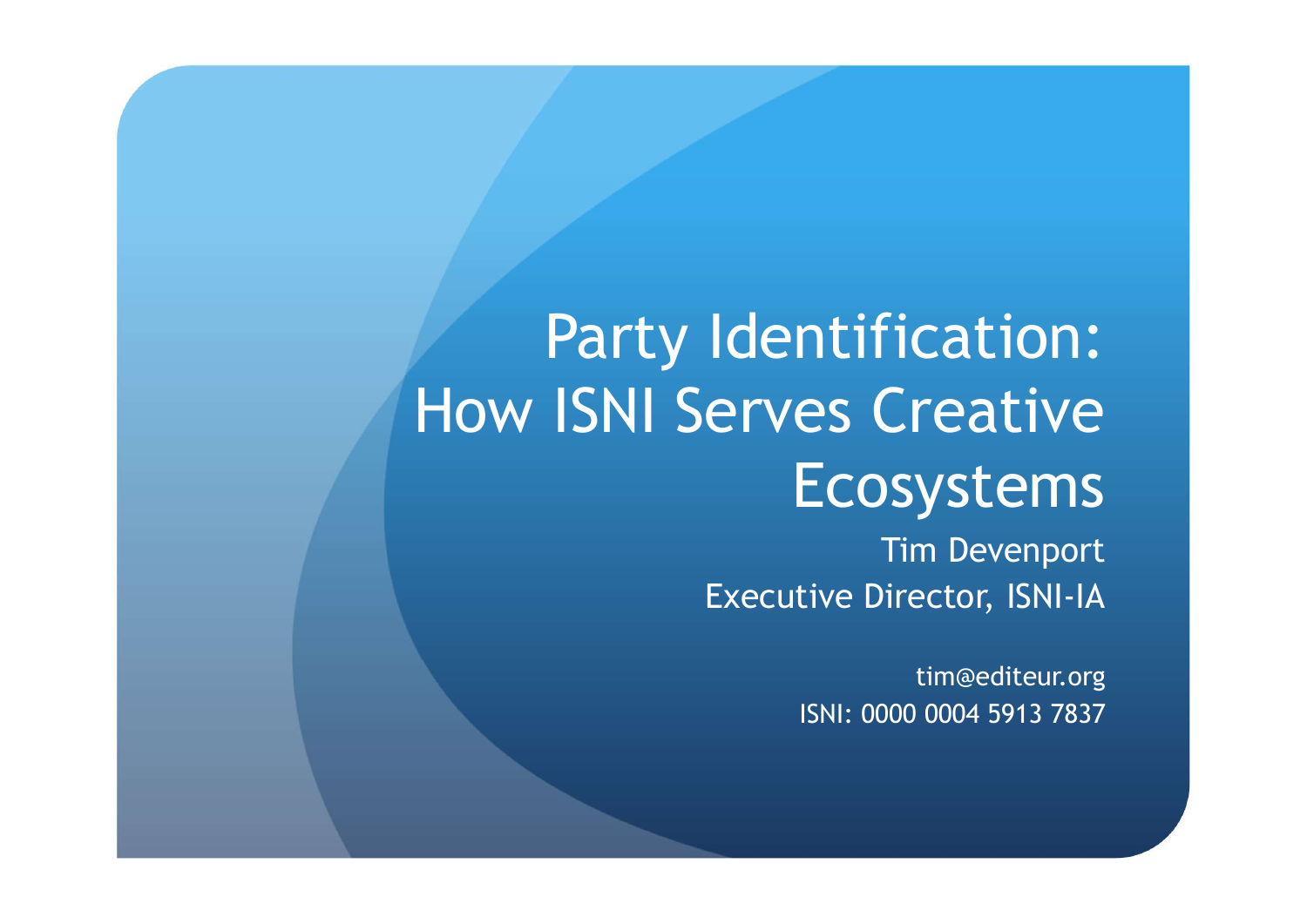#### Party Identification: How ISNI Serves Creative Ecosystems

Tim Devenport Executive Director, ISNI-IA

> tim@editeur.org ISNI: 0000 0004 5913 7837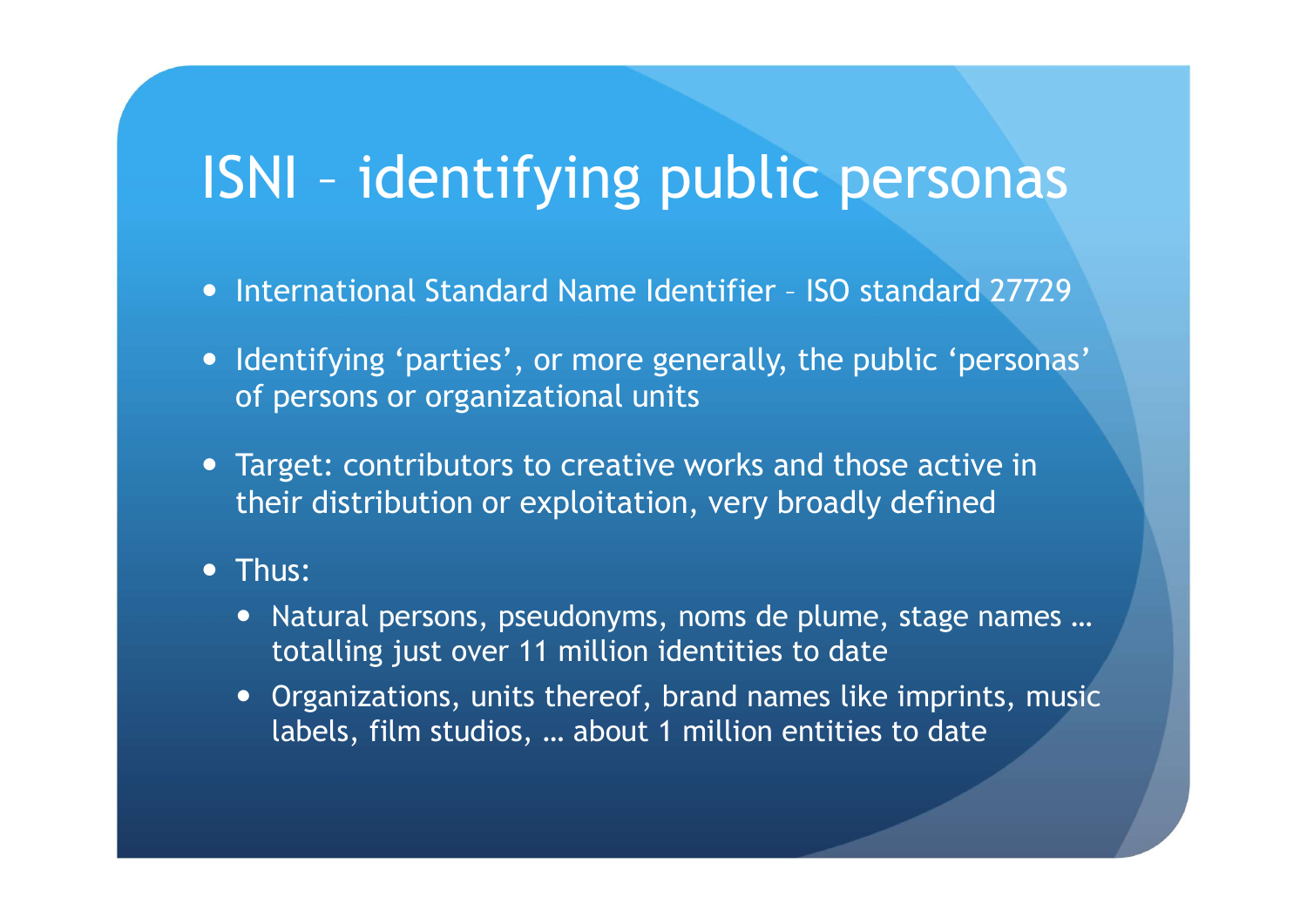# ISNI – identifying public personas **ISNI – identifying public personas<br>• International Standard Name Identifier – ISO standard 27729<br>• Identifying 'parties', or more generally, the public 'personas'<br>of nersons or grappizational units**

- 
- Identifying 'parties', or more generally, the public 'personas' of persons or organizational units International Standard Name Identifier - ISO standard 27729<br>Identifying 'parties', or more generally, the public 'personas'<br>of persons or organizational units<br>Target: contributors to creative works and those active in<br>thei ernational Standard Name Identifier - ISO standard 27729<br>entifying 'parties', or more generally, the public 'personas'<br>persons or organizational units<br>rget: contributors to creative works and those active in<br>eir distributi
- Target: contributors to creative works and those active in their distribution or exploitation, very broadly defined

#### • Thus:

- 
- Organizations, units thereof, brand names like imprints, music labels, film studios, … about 1 million entities to date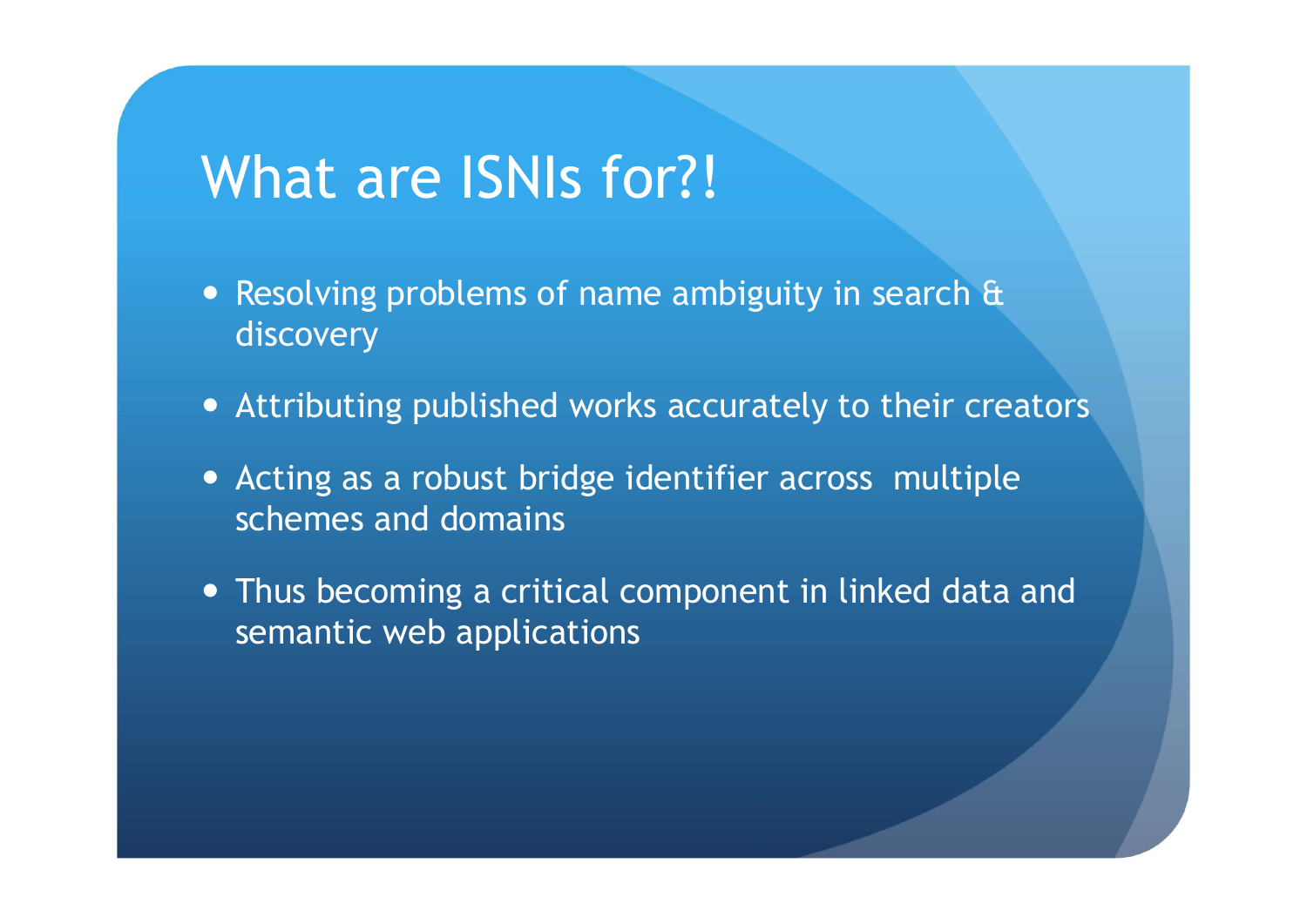#### What are ISNIs for?!

- Resolving problems of name ambiguity in search  $\theta$ discovery
- Attributing published works accurately to their creators
- Acting as a robust bridge identifier across multiple schemes and domains
- Thus becoming a critical component in linked data and semantic web applications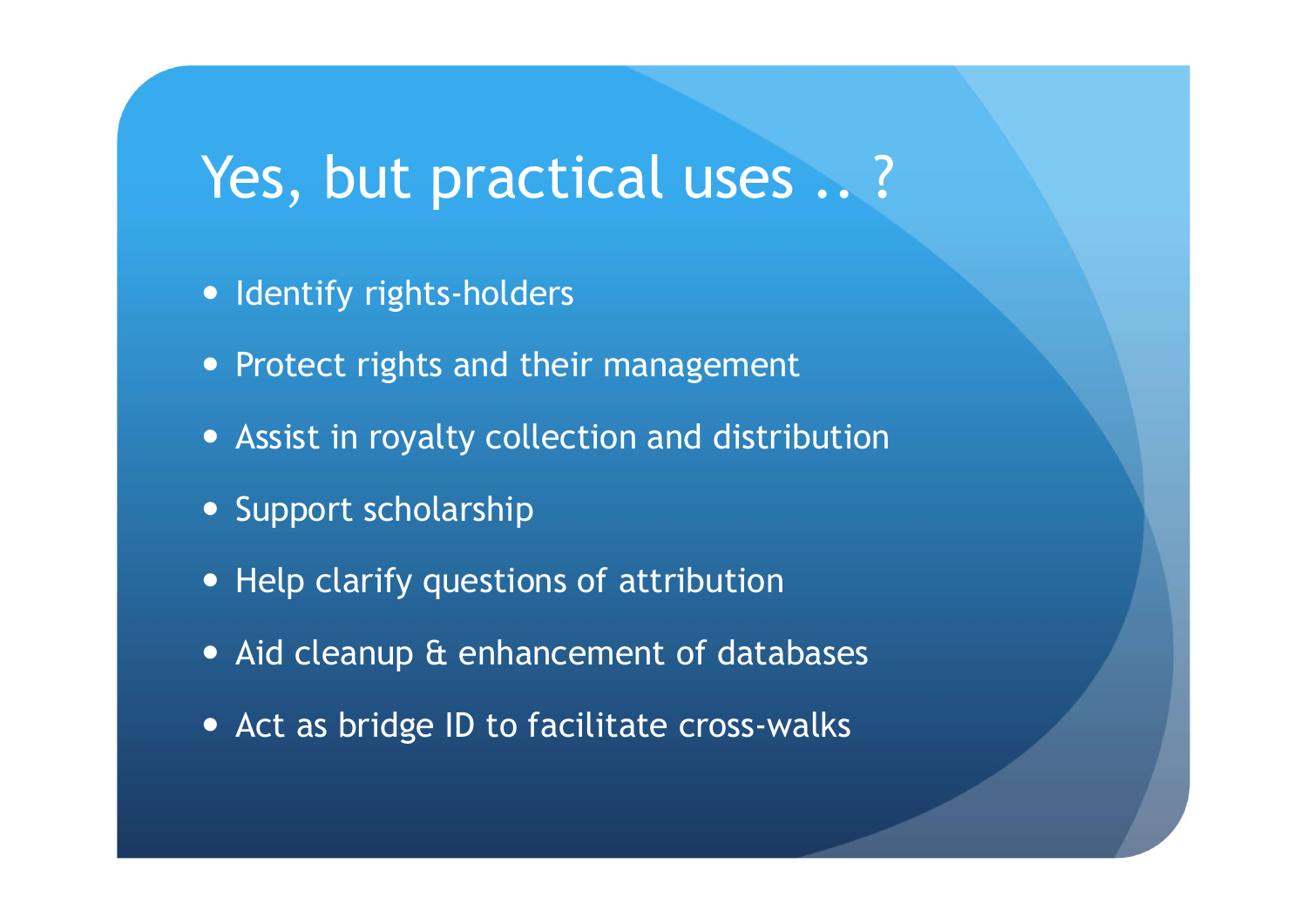#### Yes, but practical uses .. ?

- Identify rights-holders
- Protect rights and their management
- Assist in royalty collection and distribution
- Support scholarship
- Help clarify questions of attribution
- Aid cleanup & enhancement of databases
- Act as bridge ID to facilitate cross-walks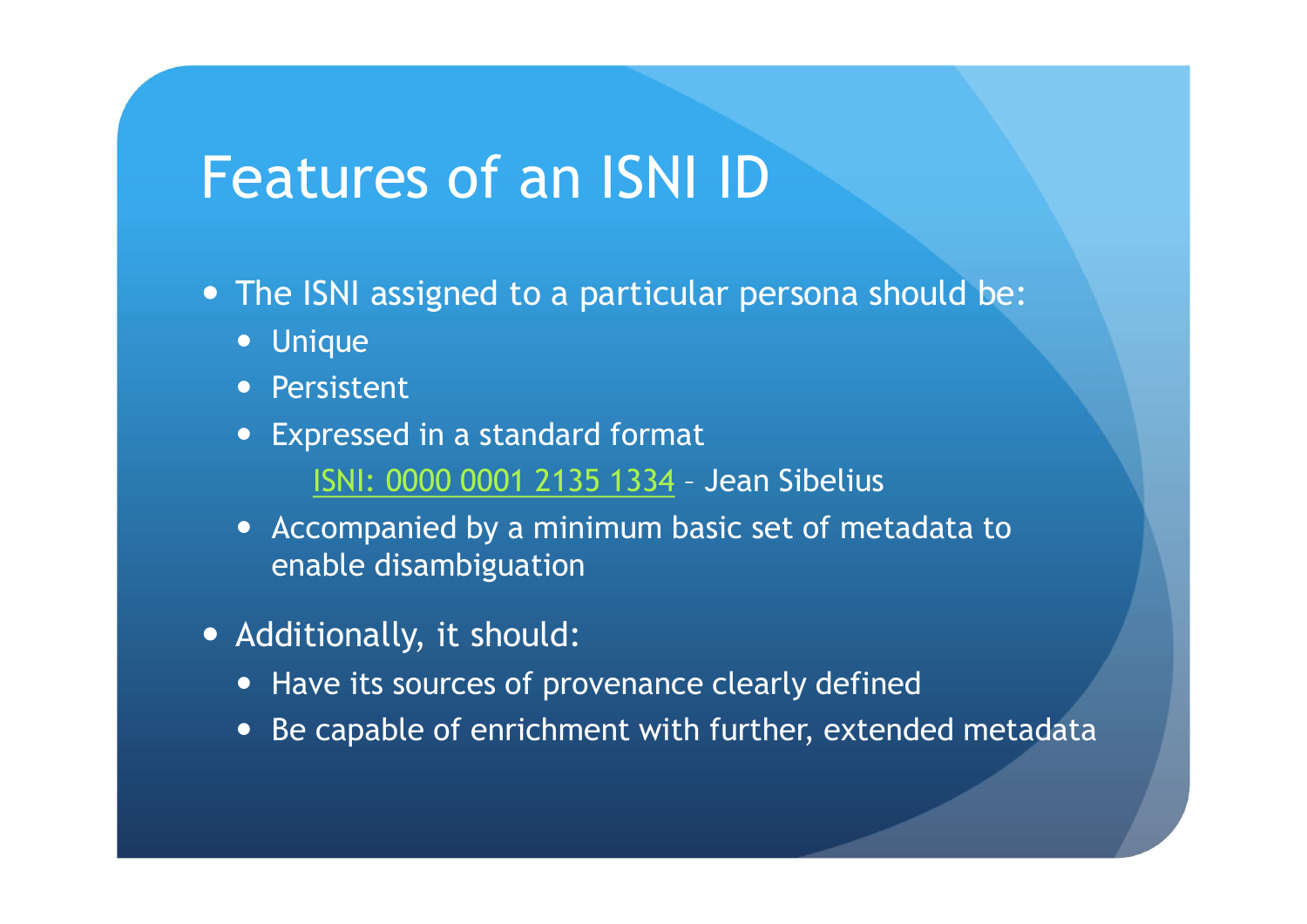#### Features of an ISNI ID

- The ISNI assigned to a particular persona should be:
	- Unique
	- Persistent
	- Expressed in a standard format
- I**UITES OF AN ISNIID**<br>SNI assigned to a particular persona should be:<br>ique<br>sistent<br>ISNI: 0000 0001 2135 1334 Jean Sibelius<br>companied by a minimum basic set of metadata to<br>able disambiguation • Accompanied by a minimum basic set of metadata to enable disambiguation
- Additionally, it should:
	- Have its sources of provenance clearly defined
	- Be capable of enrichment with further, extended metadata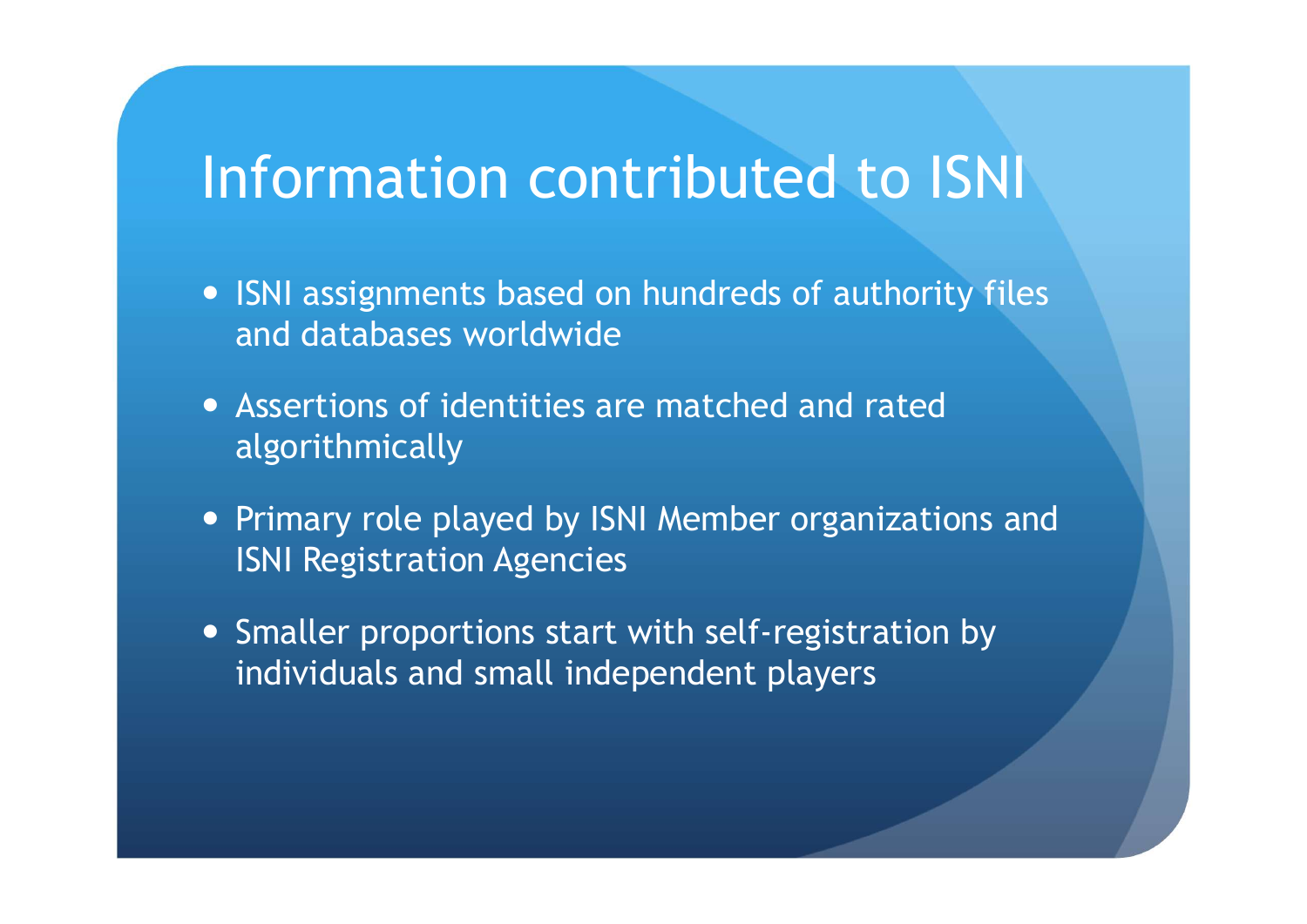#### Information contributed to ISNI

- ISNI assignments based on hundreds of authority files and databases worldwide
- Assertions of identities are matched and rated algorithmically
- Primary role played by ISNI Member organizations and ISNI Registration Agencies
- Smaller proportions start with self-registration by individuals and small independent players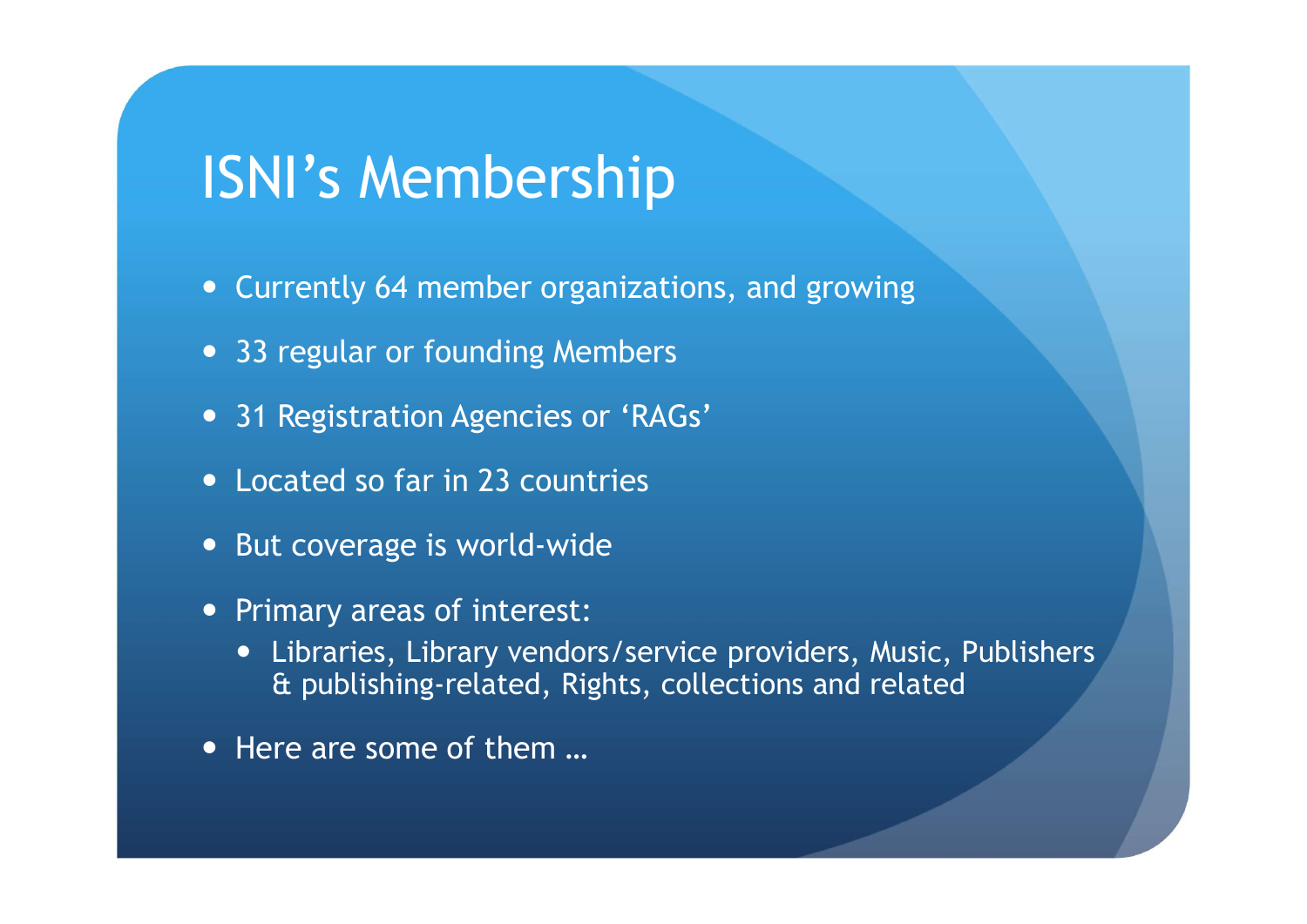#### ISNI's Membership

- Currently 64 member organizations, and growing
- 33 regular or founding Members
- 31 Registration Agencies or 'RAGs'
- Located so far in 23 countries
- But coverage is world-wide
- Primary areas of interest:
	- Libraries, Library vendors/service providers, Music, Publishers & publishing-related, Rights, collections and related
- Here are some of them ...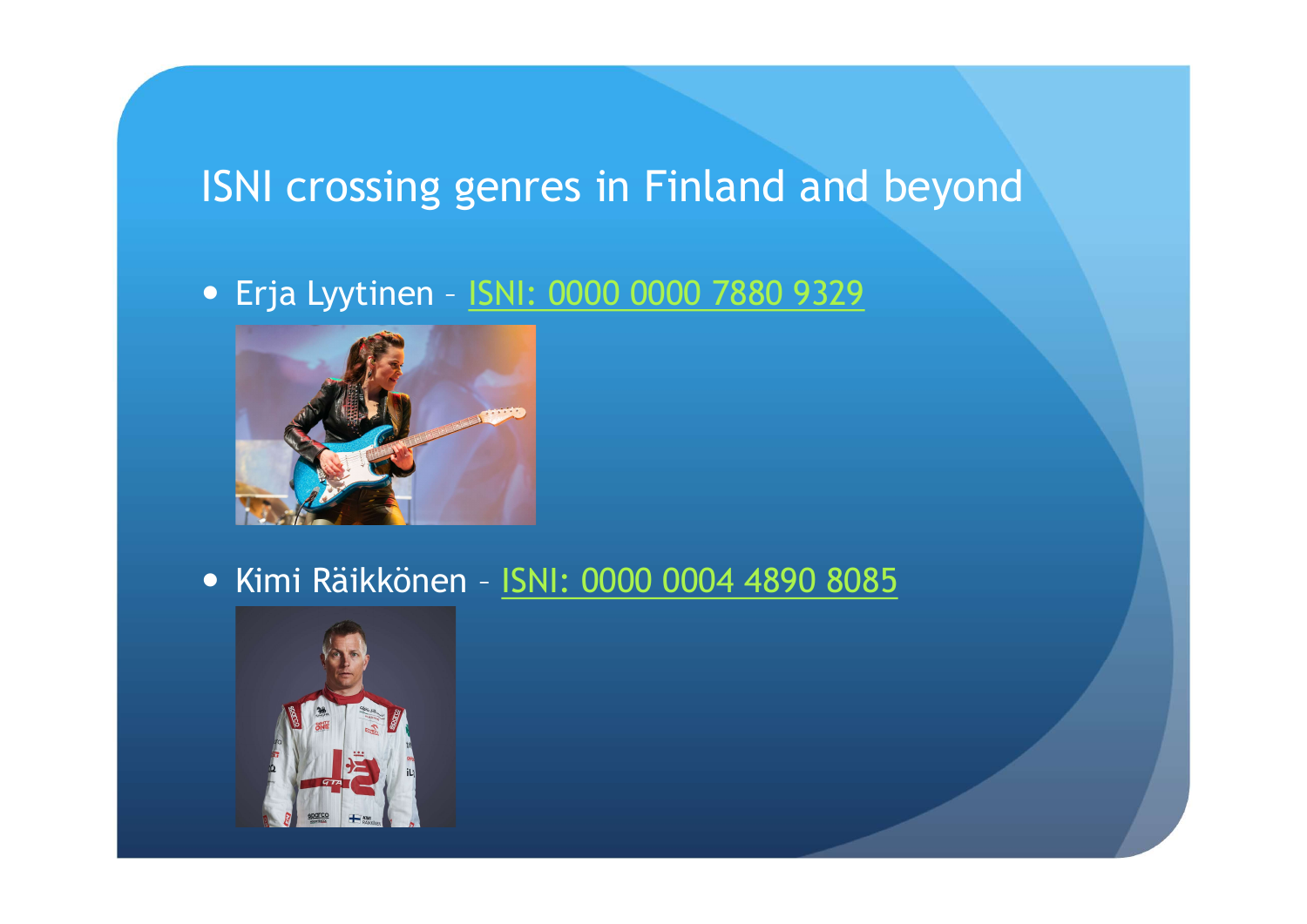## ISNI crossing genres in Finland and beyond ERIC CONSINEED SERVICES OF FINITE ON THE EFTER LYSTERS OF THE EFTER LYSTER CONSIDER THE EFTER LYSTER OF THE EFTER SHOP OF THE EFTER SHOP OF THE EFTER SHOP OF THE EFTER SHOP OF THE EFTER SHOP OF THE EFTER SHOP OF THE EFTER